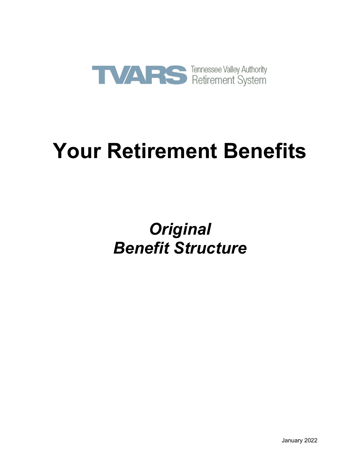

# **Your Retirement Benefits**

## *Original Benefit Structure*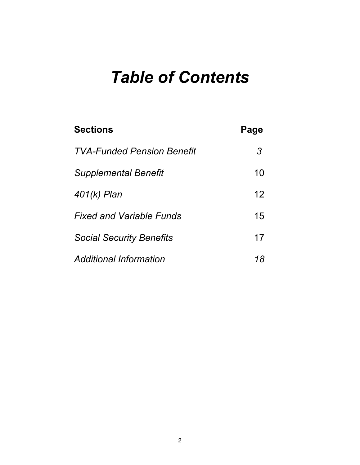## *Table of Contents*

| <b>Sections</b>                   | Page |
|-----------------------------------|------|
| <b>TVA-Funded Pension Benefit</b> | 3    |
| <b>Supplemental Benefit</b>       | 10   |
| 401(k) Plan                       | 12   |
| <b>Fixed and Variable Funds</b>   | 15   |
| <b>Social Security Benefits</b>   | 17   |
| <b>Additional Information</b>     | 18   |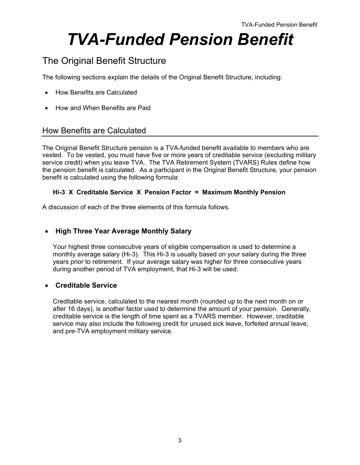## *TVA-Funded Pension Benefit*

## The Original Benefit Structure

The following sections explain the details of the Original Benefit Structure, including:

- How Benefits are Calculated
- How and When Benefits are Paid

## How Benefits are Calculated

The Original Benefit Structure pension is a TVA-funded benefit available to members who are vested. To be vested, you must have five or more years of creditable service (excluding military service credit) when you leave TVA. The TVA Retirement System (TVARS) Rules define how the pension benefit is calculated. As a participant in the Original Benefit Structure, your pension benefit is calculated using the following formula:

#### **Hi-3 X Creditable Service X Pension Factor = Maximum Monthly Pension**

A discussion of each of the three elements of this formula follows.

#### **High Three Year Average Monthly Salary**

Your highest three consecutive years of eligible compensation is used to determine a monthly average salary (Hi-3). This Hi-3 is usually based on your salary during the three years prior to retirement. If your average salary was higher for three consecutive years during another period of TVA employment, that Hi-3 will be used.

#### **Creditable Service**

Creditable service, calculated to the nearest month (rounded up to the next month on or after 16 days), is another factor used to determine the amount of your pension. Generally, creditable service is the length of time spent as a TVARS member. However, creditable service may also include the following credit for unused sick leave, forfeited annual leave, and pre-TVA employment military service.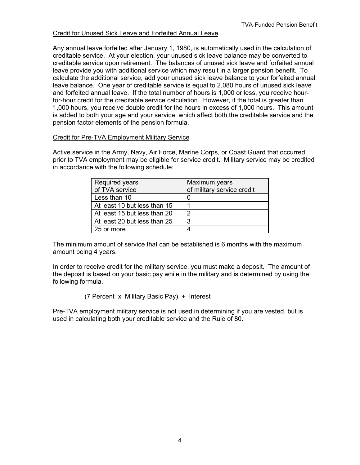#### Credit for Unused Sick Leave and Forfeited Annual Leave

Any annual leave forfeited after January 1, 1980, is automatically used in the calculation of creditable service. At your election, your unused sick leave balance may be converted to creditable service upon retirement. The balances of unused sick leave and forfeited annual leave provide you with additional service which may result in a larger pension benefit. To calculate the additional service, add your unused sick leave balance to your forfeited annual leave balance. One year of creditable service is equal to 2,080 hours of unused sick leave and forfeited annual leave. If the total number of hours is 1,000 or less, you receive hourfor-hour credit for the creditable service calculation. However, if the total is greater than 1,000 hours, you receive double credit for the hours in excess of 1,000 hours. This amount is added to both your age and your service, which affect both the creditable service and the pension factor elements of the pension formula.

#### Credit for Pre-TVA Employment Military Service

Active service in the Army, Navy, Air Force, Marine Corps, or Coast Guard that occurred prior to TVA employment may be eligible for service credit. Military service may be credited in accordance with the following schedule:

| <b>Required years</b>        | Maximum years              |
|------------------------------|----------------------------|
| of TVA service               | of military service credit |
| Less than 10                 |                            |
| At least 10 but less than 15 |                            |
| At least 15 but less than 20 | າ                          |
| At least 20 but less than 25 | 3                          |
| 25 or more                   |                            |

The minimum amount of service that can be established is 6 months with the maximum amount being 4 years.

In order to receive credit for the military service, you must make a deposit. The amount of the deposit is based on your basic pay while in the military and is determined by using the following formula.

(7 Percent x Military Basic Pay) + Interest

Pre-TVA employment military service is not used in determining if you are vested, but is used in calculating both your creditable service and the Rule of 80.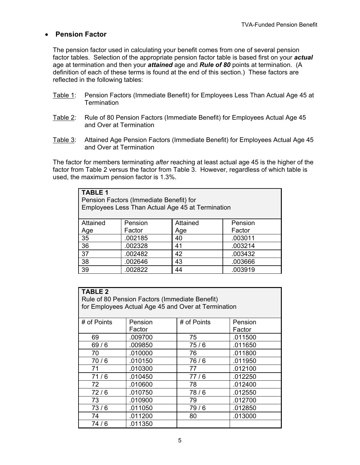#### **Pension Factor**

The pension factor used in calculating your benefit comes from one of several pension factor tables. Selection of the appropriate pension factor table is based first on your *actual* age at termination and then your *attained* age and *Rule of 80* points at termination. (A definition of each of these terms is found at the end of this section.) These factors are reflected in the following tables:

- Table 1: Pension Factors (Immediate Benefit) for Employees Less Than Actual Age 45 at **Termination**
- Table 2: Rule of 80 Pension Factors (Immediate Benefit) for Employees Actual Age 45 and Over at Termination
- Table 3: Attained Age Pension Factors (Immediate Benefit) for Employees Actual Age 45 and Over at Termination

The factor for members terminating *after* reaching at least actual age 45 is the higher of the factor from Table 2 versus the factor from Table 3. However, regardless of which table is used, the maximum pension factor is 1.3%.

| <b>TABLE 1</b><br>Pension Factors (Immediate Benefit) for<br>Employees Less Than Actual Age 45 at Termination |         |          |         |
|---------------------------------------------------------------------------------------------------------------|---------|----------|---------|
| Attained                                                                                                      | Pension | Attained | Pension |
| <u>Age</u>                                                                                                    | Factor  | Age      | Factor  |
| $\overline{35}$                                                                                               | .002185 | 40       | .003011 |
| 36                                                                                                            | .002328 | 41       | .003214 |
| 37                                                                                                            | .002482 | 42       | .003432 |
| 38                                                                                                            | .002646 | 43       | .003666 |
| 39                                                                                                            | .002822 | 44       | .003919 |

| <b>TABLE 2</b><br>Rule of 80 Pension Factors (Immediate Benefit)<br>for Employees Actual Age 45 and Over at Termination |         |             |         |
|-------------------------------------------------------------------------------------------------------------------------|---------|-------------|---------|
| # of Points                                                                                                             | Pension | # of Points | Pension |
|                                                                                                                         | Factor  |             | Factor  |
| 69                                                                                                                      | .009700 | 75          | .011500 |
| 69/6                                                                                                                    | .009850 | 75/6        | .011650 |
| 70                                                                                                                      | .010000 | 76          | .011800 |
| 70/6                                                                                                                    | .010150 | 76/6        | .011950 |
| 71                                                                                                                      | .010300 | 77          | .012100 |
| 71/6                                                                                                                    | .010450 | 77/6        | .012250 |
| 72                                                                                                                      | .010600 | 78          | .012400 |
| 72/6                                                                                                                    | .010750 | 78/6        | .012550 |
| 73                                                                                                                      | .010900 | 79          | .012700 |
| 73/6                                                                                                                    | .011050 | 79/6        | .012850 |
| 74                                                                                                                      | .011200 | 80          | .013000 |
| 74/6                                                                                                                    | .011350 |             |         |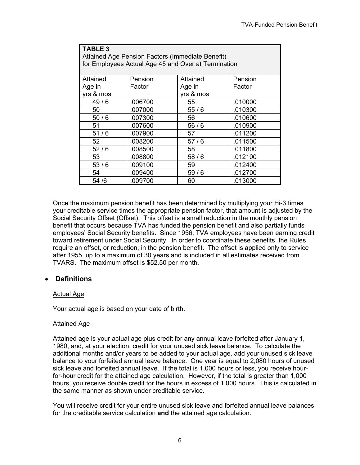| <b>TABLE 3</b> |                                                  |                                                     |         |
|----------------|--------------------------------------------------|-----------------------------------------------------|---------|
|                | Attained Age Pension Factors (Immediate Benefit) |                                                     |         |
|                |                                                  | for Employees Actual Age 45 and Over at Termination |         |
|                |                                                  |                                                     |         |
| Attained       | Pension                                          | Attained                                            | Pension |
| Age in         | Factor                                           | Age in                                              | Factor  |
| yrs & mos      |                                                  | yrs & mos                                           |         |
| 49/6           | .006700                                          | 55                                                  | .010000 |
| 50             | .007000                                          | 55/6                                                | .010300 |
| 50/6           | .007300                                          | 56                                                  | .010600 |
| 51             | .007600                                          | 56/6                                                | .010900 |
| 51/6           | .007900                                          | 57                                                  | .011200 |
| 52             | .008200                                          | 57/6                                                | .011500 |
| 52/6           | .008500                                          | 58                                                  | .011800 |
| 53             | .008800                                          | 58/6                                                | .012100 |
| 53/6           | .009100                                          | 59                                                  | .012400 |
| 54             | .009400                                          | 59/6                                                | .012700 |
| 54 /6          | .009700                                          | 60                                                  | .013000 |

Once the maximum pension benefit has been determined by multiplying your Hi-3 times your creditable service times the appropriate pension factor, that amount is adjusted by the Social Security Offset (Offset). This offset is a small reduction in the monthly pension benefit that occurs because TVA has funded the pension benefit and also partially funds employees' Social Security benefits. Since 1956, TVA employees have been earning credit toward retirement under Social Security. In order to coordinate these benefits, the Rules require an offset, or reduction, in the pension benefit. The offset is applied only to service after 1955, up to a maximum of 30 years and is included in all estimates received from TVARS. The maximum offset is \$52.50 per month.

#### **Definitions**

#### Actual Age

Your actual age is based on your date of birth.

#### Attained Age

Attained age is your actual age plus credit for any annual leave forfeited after January 1, 1980, and, at your election, credit for your unused sick leave balance. To calculate the additional months and/or years to be added to your actual age, add your unused sick leave balance to your forfeited annual leave balance. One year is equal to 2,080 hours of unused sick leave and forfeited annual leave. If the total is 1,000 hours or less, you receive hourfor-hour credit for the attained age calculation. However, if the total is greater than 1,000 hours, you receive double credit for the hours in excess of 1,000 hours. This is calculated in the same manner as shown under creditable service.

You will receive credit for your entire unused sick leave and forfeited annual leave balances for the creditable service calculation **and** the attained age calculation.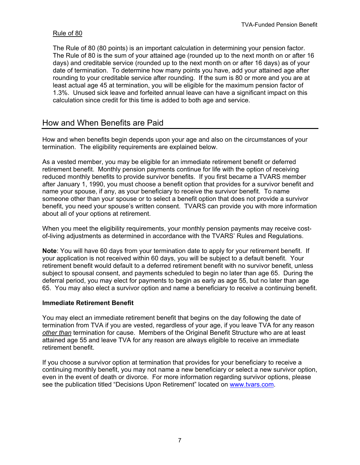#### Rule of 80

The Rule of 80 (80 points) is an important calculation in determining your pension factor. The Rule of 80 is the sum of your attained age (rounded up to the next month on or after 16 days) and creditable service (rounded up to the next month on or after 16 days) as of your date of termination. To determine how many points you have, add your attained age after rounding to your creditable service after rounding. If the sum is 80 or more and you are at least actual age 45 at termination, you will be eligible for the maximum pension factor of 1.3%. Unused sick leave and forfeited annual leave can have a significant impact on this calculation since credit for this time is added to both age and service.

### How and When Benefits are Paid

How and when benefits begin depends upon your age and also on the circumstances of your termination. The eligibility requirements are explained below.

As a vested member, you may be eligible for an immediate retirement benefit or deferred retirement benefit. Monthly pension payments continue for life with the option of receiving reduced monthly benefits to provide survivor benefits. If you first became a TVARS member after January 1, 1990, you must choose a benefit option that provides for a survivor benefit and name your spouse, if any, as your beneficiary to receive the survivor benefit. To name someone other than your spouse or to select a benefit option that does not provide a survivor benefit, you need your spouse's written consent. TVARS can provide you with more information about all of your options at retirement.

When you meet the eligibility requirements, your monthly pension payments may receive costof-living adjustments as determined in accordance with the TVARS' Rules and Regulations.

**Note**: You will have 60 days from your termination date to apply for your retirement benefit. If your application is not received within 60 days, you will be subject to a default benefit. Your retirement benefit would default to a deferred retirement benefit with no survivor benefit, unless subject to spousal consent, and payments scheduled to begin no later than age 65. During the deferral period, you may elect for payments to begin as early as age 55, but no later than age 65. You may also elect a survivor option and name a beneficiary to receive a continuing benefit.

#### **Immediate Retirement Benefit**

You may elect an immediate retirement benefit that begins on the day following the date of termination from TVA if you are vested, regardless of your age, if you leave TVA for any reason *other than* termination for cause. Members of the Original Benefit Structure who are at least attained age 55 and leave TVA for any reason are always eligible to receive an immediate retirement benefit.

If you choose a survivor option at termination that provides for your beneficiary to receive a continuing monthly benefit, you may not name a new beneficiary or select a new survivor option, even in the event of death or divorce. For more information regarding survivor options, please see the publication titled "Decisions Upon Retirement" located on www.tvars.com.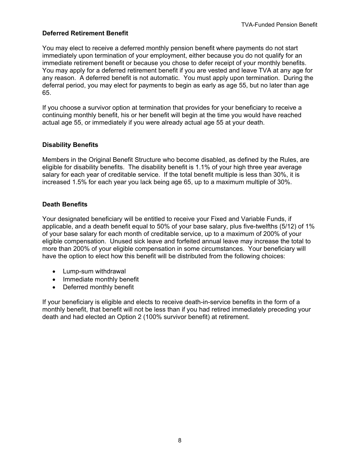#### **Deferred Retirement Benefit**

You may elect to receive a deferred monthly pension benefit where payments do not start immediately upon termination of your employment, either because you do not qualify for an immediate retirement benefit or because you chose to defer receipt of your monthly benefits. You may apply for a deferred retirement benefit if you are vested and leave TVA at any age for any reason. A deferred benefit is not automatic. You must apply upon termination. During the deferral period, you may elect for payments to begin as early as age 55, but no later than age 65.

If you choose a survivor option at termination that provides for your beneficiary to receive a continuing monthly benefit, his or her benefit will begin at the time you would have reached actual age 55, or immediately if you were already actual age 55 at your death.

#### **Disability Benefits**

Members in the Original Benefit Structure who become disabled, as defined by the Rules, are eligible for disability benefits. The disability benefit is 1.1% of your high three year average salary for each year of creditable service. If the total benefit multiple is less than 30%, it is increased 1.5% for each year you lack being age 65, up to a maximum multiple of 30%.

#### **Death Benefits**

Your designated beneficiary will be entitled to receive your Fixed and Variable Funds, if applicable, and a death benefit equal to 50% of your base salary, plus five-twelfths (5/12) of 1% of your base salary for each month of creditable service, up to a maximum of 200% of your eligible compensation. Unused sick leave and forfeited annual leave may increase the total to more than 200% of your eligible compensation in some circumstances. Your beneficiary will have the option to elect how this benefit will be distributed from the following choices:

- Lump-sum withdrawal
- Immediate monthly benefit
- Deferred monthly benefit

If your beneficiary is eligible and elects to receive death-in-service benefits in the form of a monthly benefit, that benefit will not be less than if you had retired immediately preceding your death and had elected an Option 2 (100% survivor benefit) at retirement.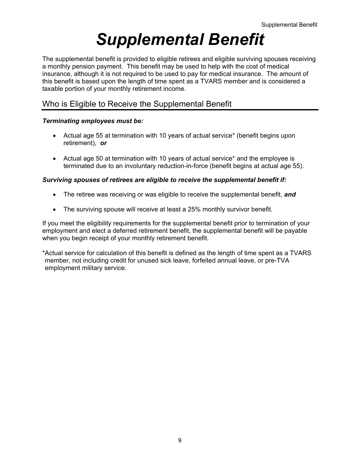## *Supplemental Benefit*

The supplemental benefit is provided to eligible retirees and eligible surviving spouses receiving a monthly pension payment. This benefit may be used to help with the cost of medical insurance, although it is not required to be used to pay for medical insurance. The amount of this benefit is based upon the length of time spent as a TVARS member and is considered a taxable portion of your monthly retirement income.

## Who is Eligible to Receive the Supplemental Benefit

#### *Terminating employees must be:*

- Actual age 55 at termination with 10 years of actual service\* (benefit begins upon retirement), *or*
- Actual age 50 at termination with 10 years of actual service\* and the employee is terminated due to an involuntary reduction-in-force (benefit begins at actual age 55).

#### *Surviving spouses of retirees are eligible to receive the supplemental benefit if:*

- The retiree was receiving or was eligible to receive the supplemental benefit, *and*
- The surviving spouse will receive at least a 25% monthly survivor benefit.

If you meet the eligibility requirements for the supplemental benefit prior to termination of your employment and elect a deferred retirement benefit, the supplemental benefit will be payable when you begin receipt of your monthly retirement benefit.

\*Actual service for calculation of this benefit is defined as the length of time spent as a TVARS member, not including credit for unused sick leave, forfeited annual leave, or pre-TVA employment military service.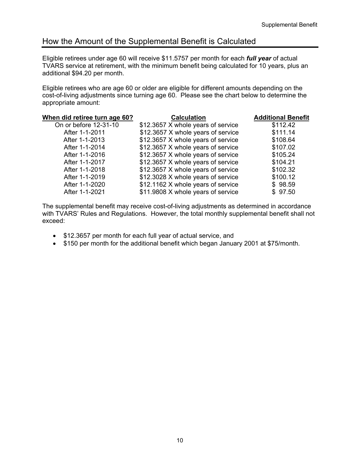## How the Amount of the Supplemental Benefit is Calculated

Eligible retirees under age 60 will receive \$11.5757 per month for each *full year* of actual TVARS service at retirement, with the minimum benefit being calculated for 10 years, plus an additional \$94.20 per month.

Eligible retirees who are age 60 or older are eligible for different amounts depending on the cost-of-living adjustments since turning age 60. Please see the chart below to determine the appropriate amount:

| <b>Calculation</b>                 | <b>Additional Benefit</b>          |
|------------------------------------|------------------------------------|
| \$12.3657 X whole years of service | \$112.42                           |
| \$12.3657 X whole years of service | \$111.14                           |
| \$12.3657 X whole years of service | \$108.64                           |
| \$12.3657 X whole years of service | \$107.02                           |
| \$12.3657 X whole years of service | \$105.24                           |
| \$12.3657 X whole years of service | \$104.21                           |
| \$12.3657 X whole years of service | \$102.32                           |
| \$12.3028 X whole years of service | \$100.12                           |
|                                    | \$98.59                            |
| \$11.9808 X whole years of service | \$97.50                            |
|                                    | \$12.1162 X whole years of service |

The supplemental benefit may receive cost-of-living adjustments as determined in accordance with TVARS' Rules and Regulations. However, the total monthly supplemental benefit shall not exceed:

- \$12.3657 per month for each full year of actual service, and
- \$150 per month for the additional benefit which began January 2001 at \$75/month.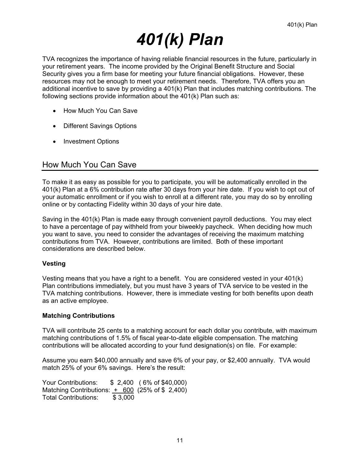## *401(k) Plan*

TVA recognizes the importance of having reliable financial resources in the future, particularly in your retirement years. The income provided by the Original Benefit Structure and Social Security gives you a firm base for meeting your future financial obligations. However, these resources may not be enough to meet your retirement needs. Therefore, TVA offers you an additional incentive to save by providing a 401(k) Plan that includes matching contributions. The following sections provide information about the 401(k) Plan such as:

- How Much You Can Save
- Different Savings Options
- Investment Options

### How Much You Can Save

To make it as easy as possible for you to participate, you will be automatically enrolled in the 401(k) Plan at a 6% contribution rate after 30 days from your hire date. If you wish to opt out of your automatic enrollment or if you wish to enroll at a different rate, you may do so by enrolling online or by contacting Fidelity within 30 days of your hire date.

Saving in the 401(k) Plan is made easy through convenient payroll deductions. You may elect to have a percentage of pay withheld from your biweekly paycheck. When deciding how much you want to save, you need to consider the advantages of receiving the maximum matching contributions from TVA. However, contributions are limited. Both of these important considerations are described below.

#### **Vesting**

Vesting means that you have a right to a benefit. You are considered vested in your 401(k) Plan contributions immediately, but you must have 3 years of TVA service to be vested in the TVA matching contributions. However, there is immediate vesting for both benefits upon death as an active employee.

#### **Matching Contributions**

TVA will contribute 25 cents to a matching account for each dollar you contribute, with maximum matching contributions of 1.5% of fiscal year-to-date eligible compensation. The matching contributions will be allocated according to your fund designation(s) on file. For example:

Assume you earn \$40,000 annually and save 6% of your pay, or \$2,400 annually. TVA would match 25% of your 6% savings. Here's the result:

Your Contributions: \$ 2,400 ( 6% of \$40,000) Matching Contributions:  $+ 600$  (25% of \$ 2,400) Total Contributions: \$3,000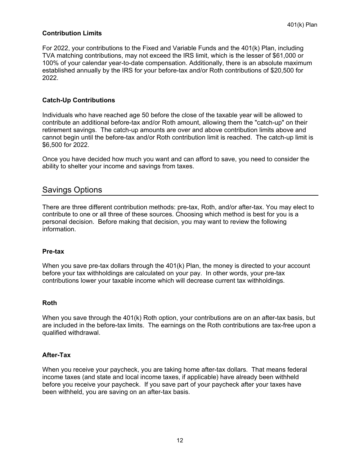#### **Contribution Limits**

For 2022, your contributions to the Fixed and Variable Funds and the 401(k) Plan, including TVA matching contributions, may not exceed the IRS limit, which is the lesser of \$61,000 or 100% of your calendar year-to-date compensation. Additionally, there is an absolute maximum established annually by the IRS for your before-tax and/or Roth contributions of \$20,500 for 2022.

#### **Catch-Up Contributions**

Individuals who have reached age 50 before the close of the taxable year will be allowed to contribute an additional before-tax and/or Roth amount, allowing them the "catch-up" on their retirement savings. The catch-up amounts are over and above contribution limits above and cannot begin until the before-tax and/or Roth contribution limit is reached. The catch-up limit is \$6,500 for 2022.

Once you have decided how much you want and can afford to save, you need to consider the ability to shelter your income and savings from taxes.

### Savings Options

There are three different contribution methods: pre-tax, Roth, and/or after-tax. You may elect to contribute to one or all three of these sources. Choosing which method is best for you is a personal decision. Before making that decision, you may want to review the following information.

#### **Pre-tax**

When you save pre-tax dollars through the 401(k) Plan, the money is directed to your account before your tax withholdings are calculated on your pay. In other words, your pre-tax contributions lower your taxable income which will decrease current tax withholdings.

#### **Roth**

When you save through the 401(k) Roth option, your contributions are on an after-tax basis, but are included in the before-tax limits. The earnings on the Roth contributions are tax-free upon a qualified withdrawal.

#### **After-Tax**

When you receive your paycheck, you are taking home after-tax dollars. That means federal income taxes (and state and local income taxes, if applicable) have already been withheld before you receive your paycheck. If you save part of your paycheck after your taxes have been withheld, you are saving on an after-tax basis.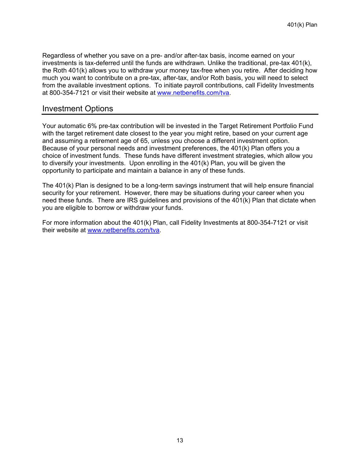Regardless of whether you save on a pre- and/or after-tax basis, income earned on your investments is tax-deferred until the funds are withdrawn. Unlike the traditional, pre-tax 401(k), the Roth 401(k) allows you to withdraw your money tax-free when you retire. After deciding how much you want to contribute on a pre-tax, after-tax, and/or Roth basis, you will need to select from the available investment options. To initiate payroll contributions, call Fidelity Investments at 800-354-7121 or visit their website at www.netbenefits.com/tva.

#### Investment Options

Your automatic 6% pre-tax contribution will be invested in the Target Retirement Portfolio Fund with the target retirement date closest to the year you might retire, based on your current age and assuming a retirement age of 65, unless you choose a different investment option. Because of your personal needs and investment preferences, the 401(k) Plan offers you a choice of investment funds. These funds have different investment strategies, which allow you to diversify your investments. Upon enrolling in the 401(k) Plan, you will be given the opportunity to participate and maintain a balance in any of these funds.

The 401(k) Plan is designed to be a long-term savings instrument that will help ensure financial security for your retirement. However, there may be situations during your career when you need these funds. There are IRS guidelines and provisions of the 401(k) Plan that dictate when you are eligible to borrow or withdraw your funds.

For more information about the 401(k) Plan, call Fidelity Investments at 800-354-7121 or visit their website at www.netbenefits.com/tva.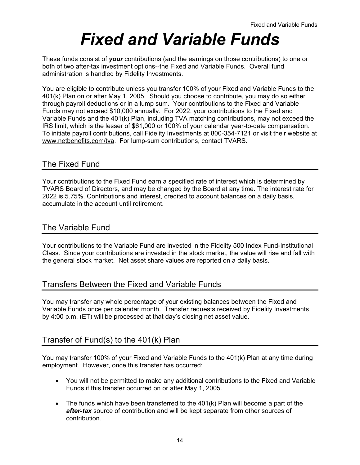## *Fixed and Variable Funds*

These funds consist of *your* contributions (and the earnings on those contributions) to one or both of two after-tax investment options--the Fixed and Variable Funds. Overall fund administration is handled by Fidelity Investments.

You are eligible to contribute unless you transfer 100% of your Fixed and Variable Funds to the 401(k) Plan on or after May 1, 2005. Should you choose to contribute, you may do so either through payroll deductions or in a lump sum. Your contributions to the Fixed and Variable Funds may not exceed \$10,000 annually. For 2022, your contributions to the Fixed and Variable Funds and the 401(k) Plan, including TVA matching contributions, may not exceed the IRS limit, which is the lesser of \$61,000 or 100% of your calendar year-to-date compensation. To initiate payroll contributions, call Fidelity Investments at 800-354-7121 or visit their website at www.netbenefits.com/tva. For lump-sum contributions, contact TVARS.

## The Fixed Fund

Your contributions to the Fixed Fund earn a specified rate of interest which is determined by TVARS Board of Directors, and may be changed by the Board at any time. The interest rate for 2022 is 5.75%. Contributions and interest, credited to account balances on a daily basis, accumulate in the account until retirement.

### The Variable Fund

Your contributions to the Variable Fund are invested in the Fidelity 500 Index Fund-Institutional Class. Since your contributions are invested in the stock market, the value will rise and fall with the general stock market. Net asset share values are reported on a daily basis.

## Transfers Between the Fixed and Variable Funds

You may transfer any whole percentage of your existing balances between the Fixed and Variable Funds once per calendar month. Transfer requests received by Fidelity Investments by 4:00 p.m. (ET) will be processed at that day's closing net asset value.

## Transfer of Fund(s) to the 401(k) Plan

You may transfer 100% of your Fixed and Variable Funds to the 401(k) Plan at any time during employment. However, once this transfer has occurred:

- You will not be permitted to make any additional contributions to the Fixed and Variable Funds if this transfer occurred on or after May 1, 2005.
- The funds which have been transferred to the 401(k) Plan will become a part of the *after-tax* source of contribution and will be kept separate from other sources of contribution.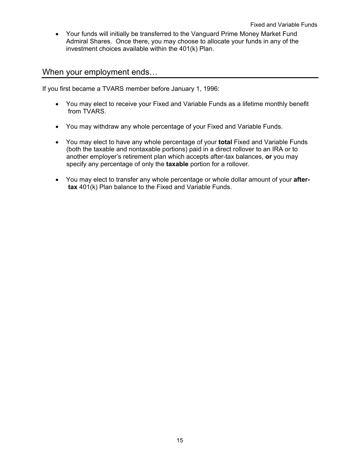Your funds will initially be transferred to the Vanguard Prime Money Market Fund Admiral Shares. Once there, you may choose to allocate your funds in any of the investment choices available within the 401(k) Plan.

#### When your employment ends…

If you first became a TVARS member before January 1, 1996:

- You may elect to receive your Fixed and Variable Funds as a lifetime monthly benefit from TVARS.
- You may withdraw any whole percentage of your Fixed and Variable Funds.
- You may elect to have any whole percentage of your **total** Fixed and Variable Funds (both the taxable and nontaxable portions) paid in a direct rollover to an IRA or to another employer's retirement plan which accepts after-tax balances, **or** you may specify any percentage of only the **taxable** portion for a rollover.
- You may elect to transfer any whole percentage or whole dollar amount of your **after tax** 401(k) Plan balance to the Fixed and Variable Funds.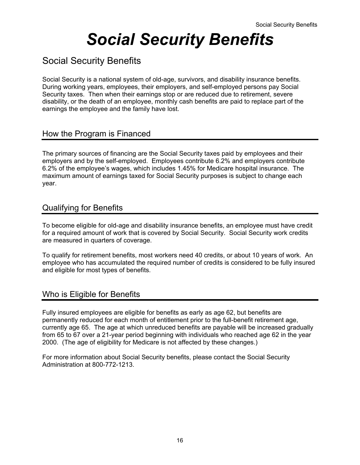## *Social Security Benefits*

## Social Security Benefits

Social Security is a national system of old-age, survivors, and disability insurance benefits. During working years, employees, their employers, and self-employed persons pay Social Security taxes. Then when their earnings stop or are reduced due to retirement, severe disability, or the death of an employee, monthly cash benefits are paid to replace part of the earnings the employee and the family have lost.

### How the Program is Financed

The primary sources of financing are the Social Security taxes paid by employees and their employers and by the self-employed. Employees contribute 6.2% and employers contribute 6.2% of the employee's wages, which includes 1.45% for Medicare hospital insurance. The maximum amount of earnings taxed for Social Security purposes is subject to change each year.

### Qualifying for Benefits

To become eligible for old-age and disability insurance benefits, an employee must have credit for a required amount of work that is covered by Social Security. Social Security work credits are measured in quarters of coverage.

To qualify for retirement benefits, most workers need 40 credits, or about 10 years of work. An employee who has accumulated the required number of credits is considered to be fully insured and eligible for most types of benefits.

## Who is Eligible for Benefits

Fully insured employees are eligible for benefits as early as age 62, but benefits are permanently reduced for each month of entitlement prior to the full-benefit retirement age, currently age 65. The age at which unreduced benefits are payable will be increased gradually from 65 to 67 over a 21-year period beginning with individuals who reached age 62 in the year 2000. (The age of eligibility for Medicare is not affected by these changes.)

For more information about Social Security benefits, please contact the Social Security Administration at 800-772-1213.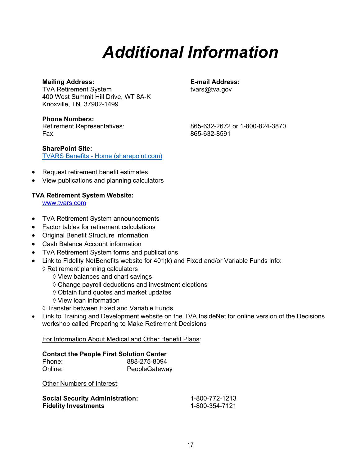## *Additional Information*

#### **Mailing Address: E-mail Address:**

TVA Retirement System tvars@tva.gov 400 West Summit Hill Drive, WT 8A-K Knoxville, TN 37902-1499

**Phone Numbers:**  Fax: 865-632-8591

Retirement Representatives: 865-632-2672 or 1-800-824-3870

- Request retirement benefit estimates
- View publications and planning calculators

[TVARS Benefits - Home \(sharepoint.com\)](https://tvacloud.sharepoint.com/sites/tvarsben/)

#### **TVA Retirement System Website:**

www.tvars.com

**SharePoint Site:** 

- TVA Retirement System announcements
- Factor tables for retirement calculations
- Original Benefit Structure information
- Cash Balance Account information
- TVA Retirement System forms and publications
- Link to Fidelity NetBenefits website for 401(k) and Fixed and/or Variable Funds info:
	- $\diamond$  Retirement planning calculators
		- $\Diamond$  View balances and chart savings
		- $\Diamond$  Change payroll deductions and investment elections
		- $\diamond$  Obtain fund quotes and market updates
		- View loan information
	- Transfer between Fixed and Variable Funds
- Link to Training and Development website on the TVA InsideNet for online version of the Decisions workshop called Preparing to Make Retirement Decisions

For Information About Medical and Other Benefit Plans:

### **Contact the People First Solution Center**

| Phone:  | 888-275-8094  |
|---------|---------------|
| Online: | PeopleGateway |

Other Numbers of Interest:

| <b>Social Security Administration:</b> | 1-800-772-1213 |
|----------------------------------------|----------------|
| <b>Fidelity Investments</b>            | 1-800-354-7121 |